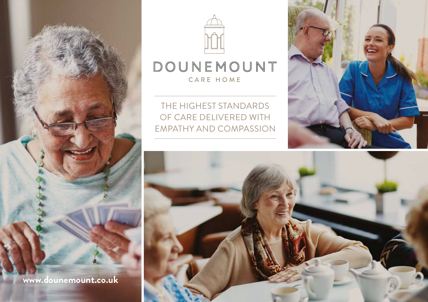



## DOUNEMOUNT CARE HOME

THE HIGHEST STANDARDS OF CARE DELIVERED WITH EMPATHY AND COMPASSION



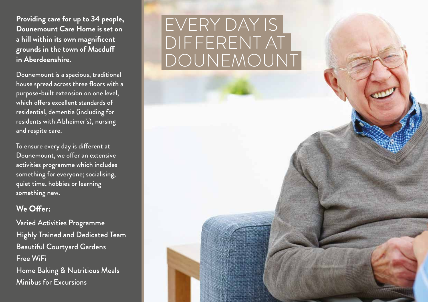**Providing care for up to 34 people, Dounemount Care Home is set on a hill within its own magnificent grounds in the town of Macduff in Aberdeenshire.**

Dounemount is a spacious, traditional house spread across three floors with a purpose-built extension on one level, which offers excellent standards of residential, dementia (including for residents with Alzheimer's), nursing and respite care.

To ensure every day is different at Dounemount, we offer an extensive activities programme which includes something for everyone; socialising, quiet time, hobbies or learning something new.

## **We Offer:**

Varied Activities Programme Highly Trained and Dedicated Team Beautiful Courtyard Gardens Free WiFi Home Baking & Nutritious Meals Minibus for Excursions

## EVERY DAY IS DIFFERENT AT DOUNEMOUNT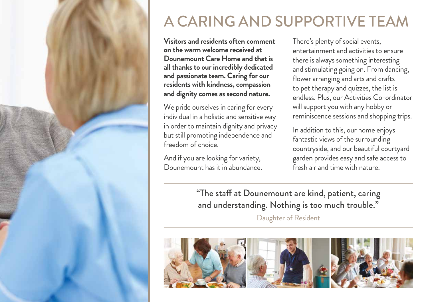

## A CARING AND SUPPORTIVE TEAM

**Visitors and residents often comment on the warm welcome received at Dounemount Care Home and that is all thanks to our incredibly dedicated and passionate team. Caring for our residents with kindness, compassion and dignity comes as second nature.** 

We pride ourselves in caring for every individual in a holistic and sensitive way in order to maintain dignity and privacy but still promoting independence and freedom of choice.

And if you are looking for variety, Dounemount has it in abundance. There's plenty of social events, entertainment and activities to ensure there is always something interesting and stimulating going on. From dancing, flower arranging and arts and crafts to pet therapy and quizzes, the list is endless. Plus, our Activities Co-ordinator will support you with any hobby or reminiscence sessions and shopping trips.

In addition to this, our home enjoys fantastic views of the surrounding countryside, and our beautiful courtyard garden provides easy and safe access to fresh air and time with nature.

"The staff at Dounemount are kind, patient, caring and understanding. Nothing is too much trouble."

Daughter of Resident